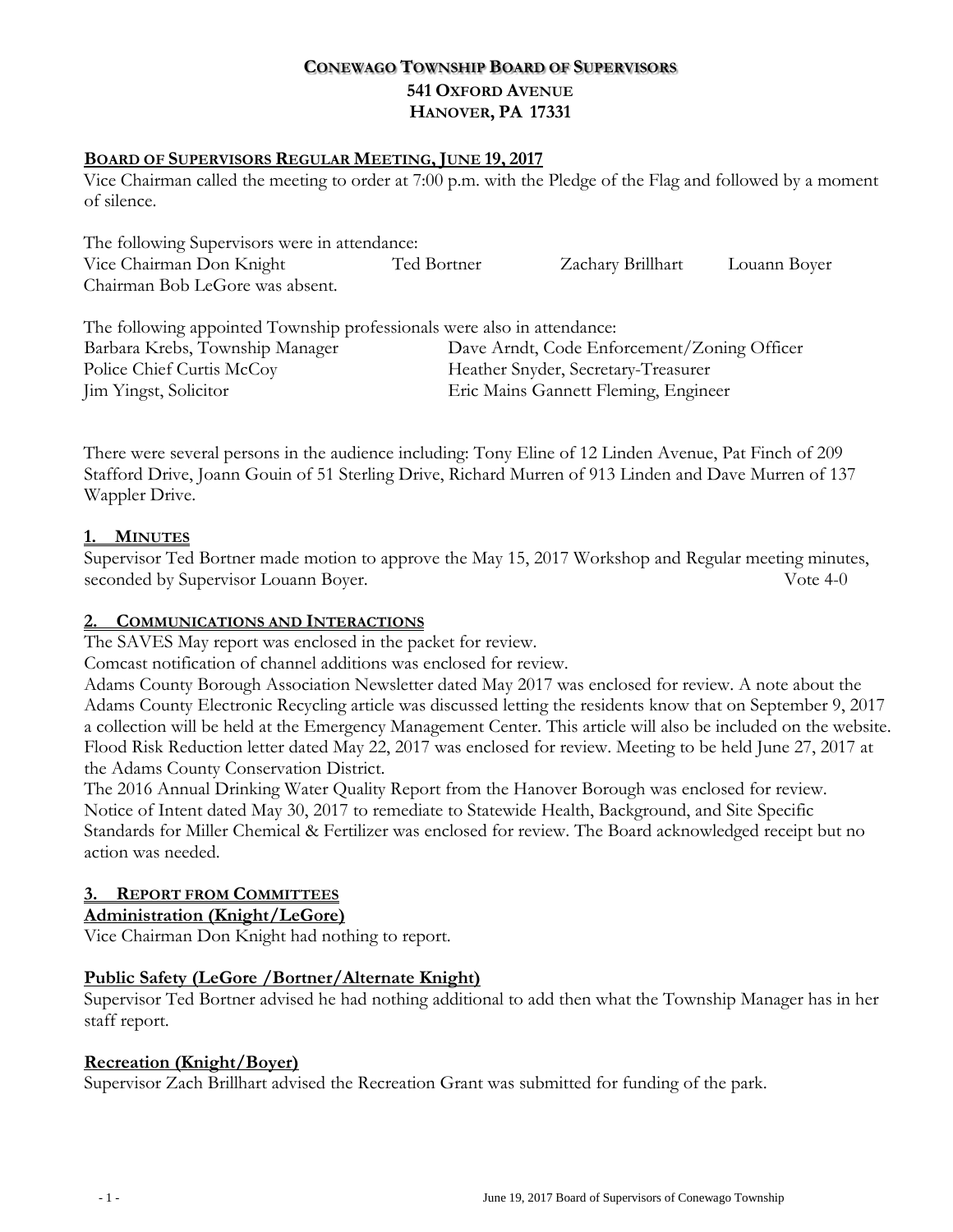# **CONEWAGO TOWNSHIP BOARD OF SUPERVISORS 541 OXFORD AVENUE HANOVER, PA 17331**

## **BOARD OF SUPERVISORS REGULAR MEETING, JUNE 19, 2017**

Vice Chairman called the meeting to order at 7:00 p.m. with the Pledge of the Flag and followed by a moment of silence.

| The following Supervisors were in attendance:                           |             |                                             |              |  |
|-------------------------------------------------------------------------|-------------|---------------------------------------------|--------------|--|
| Vice Chairman Don Knight                                                | Ted Bortner | Zachary Brillhart                           | Louann Boyer |  |
| Chairman Bob LeGore was absent.                                         |             |                                             |              |  |
|                                                                         |             |                                             |              |  |
| The following appointed Township professionals were also in attendance: |             |                                             |              |  |
| Barbara Krebs, Township Manager                                         |             | Dave Arndt, Code Enforcement/Zoning Officer |              |  |
| Police Chief Curtis McCov                                               |             | Heather Snyder, Secretary-Treasurer         |              |  |

Jim Yingst, Solicitor Eric Mains Gannett Fleming, Engineer

There were several persons in the audience including: Tony Eline of 12 Linden Avenue, Pat Finch of 209 Stafford Drive, Joann Gouin of 51 Sterling Drive, Richard Murren of 913 Linden and Dave Murren of 137 Wappler Drive.

#### **1. MINUTES**

Supervisor Ted Bortner made motion to approve the May 15, 2017 Workshop and Regular meeting minutes, seconded by Supervisor Louann Boyer. Vote 4-0

#### **2. COMMUNICATIONS AND INTERACTIONS**

The SAVES May report was enclosed in the packet for review.

Comcast notification of channel additions was enclosed for review.

Adams County Borough Association Newsletter dated May 2017 was enclosed for review. A note about the Adams County Electronic Recycling article was discussed letting the residents know that on September 9, 2017 a collection will be held at the Emergency Management Center. This article will also be included on the website. Flood Risk Reduction letter dated May 22, 2017 was enclosed for review. Meeting to be held June 27, 2017 at the Adams County Conservation District.

The 2016 Annual Drinking Water Quality Report from the Hanover Borough was enclosed for review. Notice of Intent dated May 30, 2017 to remediate to Statewide Health, Background, and Site Specific Standards for Miller Chemical & Fertilizer was enclosed for review. The Board acknowledged receipt but no action was needed.

# **3. REPORT FROM COMMITTEES**

# **Administration (Knight/LeGore)**

Vice Chairman Don Knight had nothing to report.

#### **Public Safety (LeGore /Bortner/Alternate Knight)**

Supervisor Ted Bortner advised he had nothing additional to add then what the Township Manager has in her staff report.

#### **Recreation (Knight/Boyer)**

Supervisor Zach Brillhart advised the Recreation Grant was submitted for funding of the park.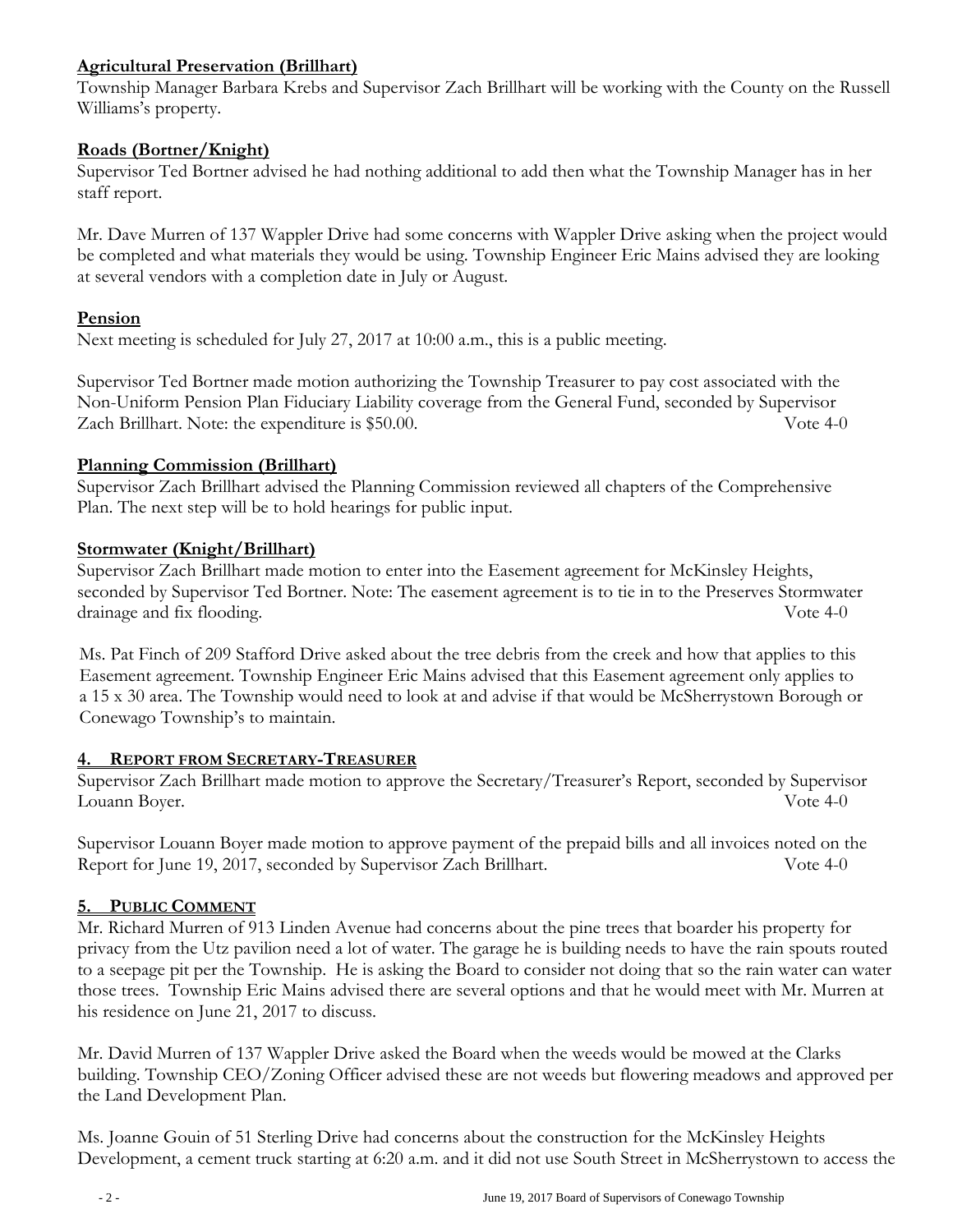# **Agricultural Preservation (Brillhart)**

Township Manager Barbara Krebs and Supervisor Zach Brillhart will be working with the County on the Russell Williams's property.

## **Roads (Bortner/Knight)**

Supervisor Ted Bortner advised he had nothing additional to add then what the Township Manager has in her staff report.

Mr. Dave Murren of 137 Wappler Drive had some concerns with Wappler Drive asking when the project would be completed and what materials they would be using. Township Engineer Eric Mains advised they are looking at several vendors with a completion date in July or August.

## **Pension**

Next meeting is scheduled for July 27, 2017 at 10:00 a.m., this is a public meeting.

Supervisor Ted Bortner made motion authorizing the Township Treasurer to pay cost associated with the Non-Uniform Pension Plan Fiduciary Liability coverage from the General Fund, seconded by Supervisor Zach Brillhart. Note: the expenditure is \$50.00. Vote 4-0

## **Planning Commission (Brillhart)**

Supervisor Zach Brillhart advised the Planning Commission reviewed all chapters of the Comprehensive Plan. The next step will be to hold hearings for public input.

## **Stormwater (Knight/Brillhart)**

Supervisor Zach Brillhart made motion to enter into the Easement agreement for McKinsley Heights, seconded by Supervisor Ted Bortner. Note: The easement agreement is to tie in to the Preserves Stormwater drainage and fix flooding. Vote 4-0

 Ms. Pat Finch of 209 Stafford Drive asked about the tree debris from the creek and how that applies to this Easement agreement. Township Engineer Eric Mains advised that this Easement agreement only applies to a 15 x 30 area. The Township would need to look at and advise if that would be McSherrystown Borough or Conewago Township's to maintain.

#### **4. REPORT FROM SECRETARY-TREASURER**

Supervisor Zach Brillhart made motion to approve the Secretary/Treasurer's Report, seconded by Supervisor Louann Boyer. Vote 4-0

Supervisor Louann Boyer made motion to approve payment of the prepaid bills and all invoices noted on the Report for June 19, 2017, seconded by Supervisor Zach Brillhart. Vote 4-0

# **5. PUBLIC COMMENT**

Mr. Richard Murren of 913 Linden Avenue had concerns about the pine trees that boarder his property for privacy from the Utz pavilion need a lot of water. The garage he is building needs to have the rain spouts routed to a seepage pit per the Township. He is asking the Board to consider not doing that so the rain water can water those trees. Township Eric Mains advised there are several options and that he would meet with Mr. Murren at his residence on June 21, 2017 to discuss.

Mr. David Murren of 137 Wappler Drive asked the Board when the weeds would be mowed at the Clarks building. Township CEO/Zoning Officer advised these are not weeds but flowering meadows and approved per the Land Development Plan.

Ms. Joanne Gouin of 51 Sterling Drive had concerns about the construction for the McKinsley Heights Development, a cement truck starting at 6:20 a.m. and it did not use South Street in McSherrystown to access the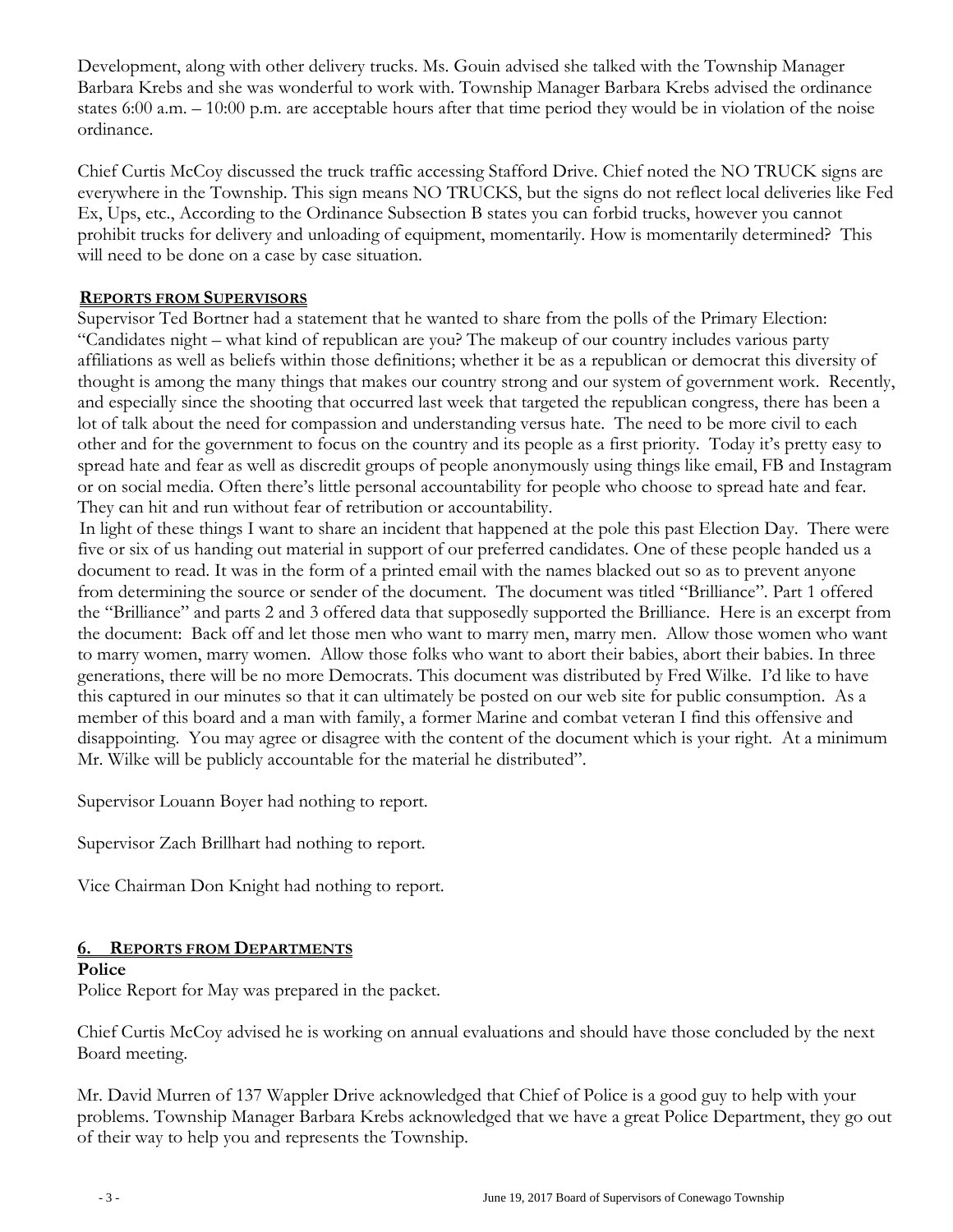Development, along with other delivery trucks. Ms. Gouin advised she talked with the Township Manager Barbara Krebs and she was wonderful to work with. Township Manager Barbara Krebs advised the ordinance states 6:00 a.m. – 10:00 p.m. are acceptable hours after that time period they would be in violation of the noise ordinance.

Chief Curtis McCoy discussed the truck traffic accessing Stafford Drive. Chief noted the NO TRUCK signs are everywhere in the Township. This sign means NO TRUCKS, but the signs do not reflect local deliveries like Fed Ex, Ups, etc., According to the Ordinance Subsection B states you can forbid trucks, however you cannot prohibit trucks for delivery and unloading of equipment, momentarily. How is momentarily determined? This will need to be done on a case by case situation.

#### **REPORTS FROM SUPERVISORS**

Supervisor Ted Bortner had a statement that he wanted to share from the polls of the Primary Election: "Candidates night – what kind of republican are you? The makeup of our country includes various party affiliations as well as beliefs within those definitions; whether it be as a republican or democrat this diversity of thought is among the many things that makes our country strong and our system of government work. Recently, and especially since the shooting that occurred last week that targeted the republican congress, there has been a lot of talk about the need for compassion and understanding versus hate. The need to be more civil to each other and for the government to focus on the country and its people as a first priority. Today it's pretty easy to spread hate and fear as well as discredit groups of people anonymously using things like email, FB and Instagram or on social media. Often there's little personal accountability for people who choose to spread hate and fear. They can hit and run without fear of retribution or accountability.

 In light of these things I want to share an incident that happened at the pole this past Election Day. There were five or six of us handing out material in support of our preferred candidates. One of these people handed us a document to read. It was in the form of a printed email with the names blacked out so as to prevent anyone from determining the source or sender of the document. The document was titled "Brilliance". Part 1 offered the "Brilliance" and parts 2 and 3 offered data that supposedly supported the Brilliance. Here is an excerpt from the document: Back off and let those men who want to marry men, marry men. Allow those women who want to marry women, marry women. Allow those folks who want to abort their babies, abort their babies. In three generations, there will be no more Democrats. This document was distributed by Fred Wilke. I'd like to have this captured in our minutes so that it can ultimately be posted on our web site for public consumption. As a member of this board and a man with family, a former Marine and combat veteran I find this offensive and disappointing. You may agree or disagree with the content of the document which is your right. At a minimum Mr. Wilke will be publicly accountable for the material he distributed".

Supervisor Louann Boyer had nothing to report.

Supervisor Zach Brillhart had nothing to report.

Vice Chairman Don Knight had nothing to report.

# **6. REPORTS FROM DEPARTMENTS**

#### **Police**

Police Report for May was prepared in the packet.

Chief Curtis McCoy advised he is working on annual evaluations and should have those concluded by the next Board meeting.

Mr. David Murren of 137 Wappler Drive acknowledged that Chief of Police is a good guy to help with your problems. Township Manager Barbara Krebs acknowledged that we have a great Police Department, they go out of their way to help you and represents the Township.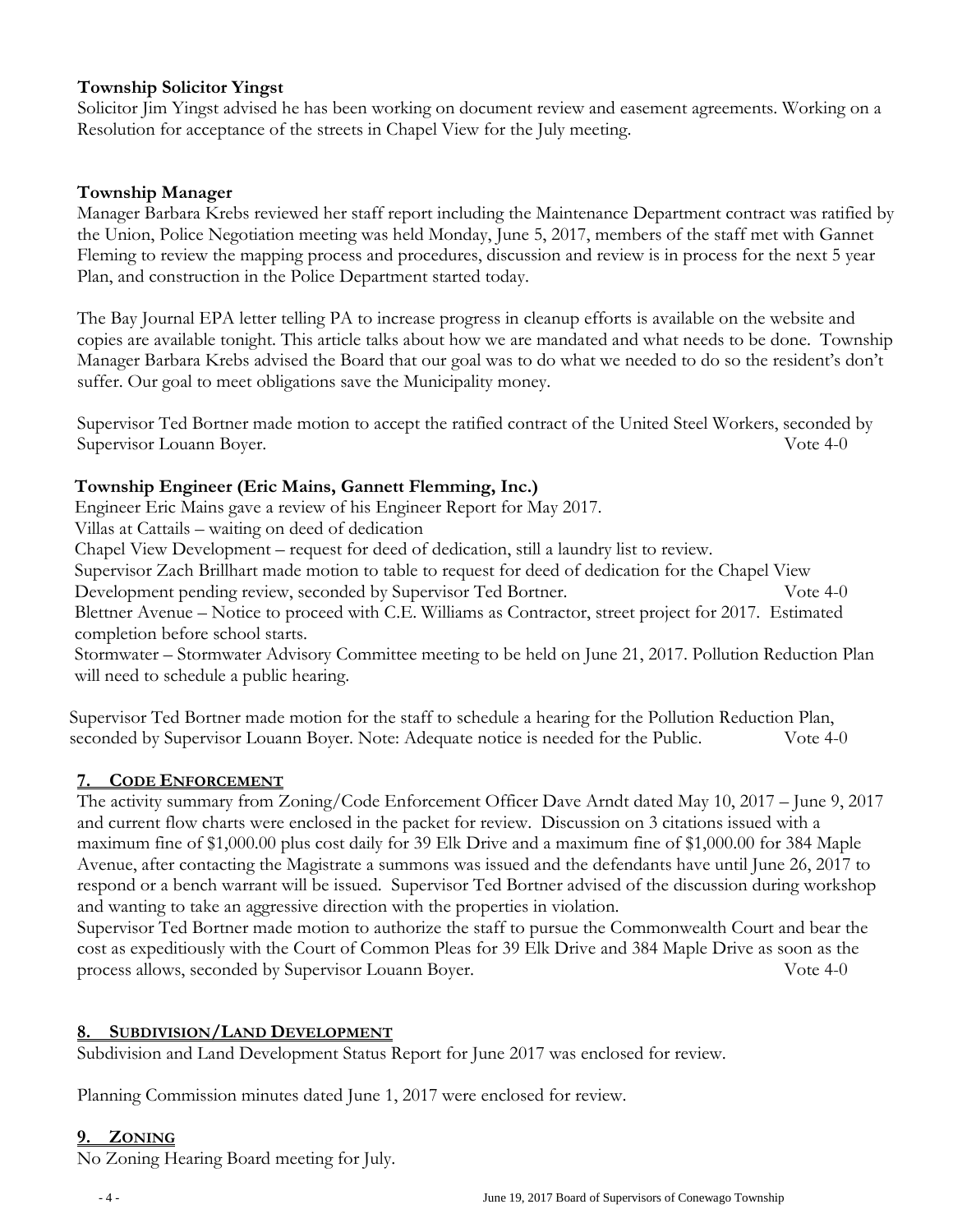## **Township Solicitor Yingst**

Solicitor Jim Yingst advised he has been working on document review and easement agreements. Working on a Resolution for acceptance of the streets in Chapel View for the July meeting.

## **Township Manager**

Manager Barbara Krebs reviewed her staff report including the Maintenance Department contract was ratified by the Union, Police Negotiation meeting was held Monday, June 5, 2017, members of the staff met with Gannet Fleming to review the mapping process and procedures, discussion and review is in process for the next 5 year Plan, and construction in the Police Department started today.

The Bay Journal EPA letter telling PA to increase progress in cleanup efforts is available on the website and copies are available tonight. This article talks about how we are mandated and what needs to be done. Township Manager Barbara Krebs advised the Board that our goal was to do what we needed to do so the resident's don't suffer. Our goal to meet obligations save the Municipality money.

Supervisor Ted Bortner made motion to accept the ratified contract of the United Steel Workers, seconded by Supervisor Louann Boyer. Vote 4-0

## **Township Engineer (Eric Mains, Gannett Flemming, Inc.)**

Engineer Eric Mains gave a review of his Engineer Report for May 2017.

Villas at Cattails – waiting on deed of dedication

Chapel View Development – request for deed of dedication, still a laundry list to review.

 Supervisor Zach Brillhart made motion to table to request for deed of dedication for the Chapel View Development pending review, seconded by Supervisor Ted Bortner. Vote 4-0 Blettner Avenue – Notice to proceed with C.E. Williams as Contractor, street project for 2017. Estimated

 completion before school starts. Stormwater – Stormwater Advisory Committee meeting to be held on June 21, 2017. Pollution Reduction Plan

will need to schedule a public hearing.

Supervisor Ted Bortner made motion for the staff to schedule a hearing for the Pollution Reduction Plan, seconded by Supervisor Louann Boyer. Note: Adequate notice is needed for the Public. Vote 4-0

# **7. CODE ENFORCEMENT**

The activity summary from Zoning/Code Enforcement Officer Dave Arndt dated May 10, 2017 – June 9, 2017 and current flow charts were enclosed in the packet for review. Discussion on 3 citations issued with a maximum fine of \$1,000.00 plus cost daily for 39 Elk Drive and a maximum fine of \$1,000.00 for 384 Maple Avenue, after contacting the Magistrate a summons was issued and the defendants have until June 26, 2017 to respond or a bench warrant will be issued. Supervisor Ted Bortner advised of the discussion during workshop and wanting to take an aggressive direction with the properties in violation.

Supervisor Ted Bortner made motion to authorize the staff to pursue the Commonwealth Court and bear the cost as expeditiously with the Court of Common Pleas for 39 Elk Drive and 384 Maple Drive as soon as the process allows, seconded by Supervisor Louann Boyer. Vote 4-0

# **8. SUBDIVISION/LAND DEVELOPMENT**

Subdivision and Land Development Status Report for June 2017 was enclosed for review.

Planning Commission minutes dated June 1, 2017 were enclosed for review.

#### **9. ZONING**

No Zoning Hearing Board meeting for July.